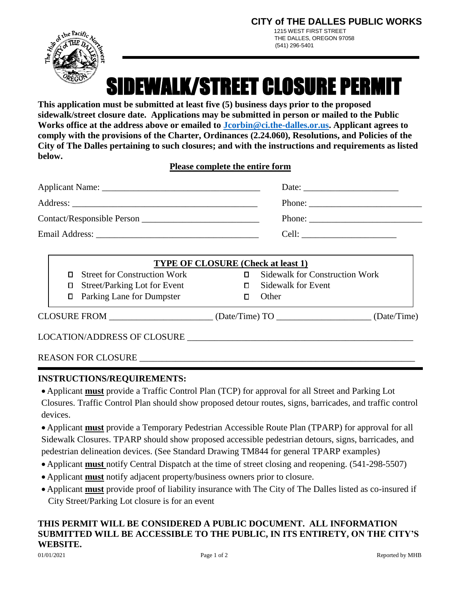**CITY of THE DALLES PUBLIC WORKS** 

 1215 WEST FIRST STREET THE DALLES, OREGON 97058 (541) 296-5401



SIDEWALK/STREET CLOSURE PERMIT

**This application must be submitted at least five (5) business days prior to the proposed sidewalk/street closure date. Applications may be submitted in person or mailed to the Public Works office at the address above or emailed to [Jcorbin@ci.the-dalles.or.us.](mailto:Jcorbin@ci.the-dalles.or.us) Applicant agrees to comply with the provisions of the Charter, Ordinances (2.24.060), Resolutions, and Policies of the City of The Dalles pertaining to such closures; and with the instructions and requirements as listed below.**

**Please complete the entire form** 

| Date: $\frac{1}{\sqrt{1-\frac{1}{2}} \cdot \frac{1}{2}}$                                                                                                                                                                       |
|--------------------------------------------------------------------------------------------------------------------------------------------------------------------------------------------------------------------------------|
| Phone: $\frac{1}{\sqrt{1-\frac{1}{2}} \cdot \frac{1}{2}}$                                                                                                                                                                      |
| Phone: $\frac{1}{\sqrt{1-\frac{1}{2}} \cdot \frac{1}{2}}$                                                                                                                                                                      |
| Cell: the contract of the contract of the contract of the contract of the contract of the contract of the contract of the contract of the contract of the contract of the contract of the contract of the contract of the cont |

| <b>TYPE OF CLOSURE</b> (Check at least 1) |                  |                                       |
|-------------------------------------------|------------------|---------------------------------------|
| <b>Street for Construction Work</b><br>П. |                  | <b>Sidewalk for Construction Work</b> |
| <b>Street/Parking Lot for Event</b><br>0  |                  | <b>Sidewalk for Event</b>             |
| <b>D</b> Parking Lane for Dumpster        |                  | <b>Other</b>                          |
| <b>CLOSURE FROM</b>                       | (Date/Time) $TO$ | (Date/Time)                           |

LOCATION/ADDRESS OF CLOSURE

| <b>REASON FOR CLOSURE</b> |  |
|---------------------------|--|
|                           |  |

## **INSTRUCTIONS/REQUIREMENTS:**

 Applicant **must** provide a Traffic Control Plan (TCP) for approval for all Street and Parking Lot Closures. Traffic Control Plan should show proposed detour routes, signs, barricades, and traffic control devices.

 Applicant **must** provide a Temporary Pedestrian Accessible Route Plan (TPARP) for approval for all Sidewalk Closures. TPARP should show proposed accessible pedestrian detours, signs, barricades, and pedestrian delineation devices. (See Standard Drawing TM844 for general TPARP examples)

- Applicant **must** notify Central Dispatch at the time of street closing and reopening. (541-298-5507)
- Applicant **must** notify adjacent property/business owners prior to closure.
- Applicant **must** provide proof of liability insurance with The City of The Dalles listed as co-insured if City Street/Parking Lot closure is for an event

# **THIS PERMIT WILL BE CONSIDERED A PUBLIC DOCUMENT. ALL INFORMATION SUBMITTED WILL BE ACCESSIBLE TO THE PUBLIC, IN ITS ENTIRETY, ON THE CITY'S WEBSITE.**

l